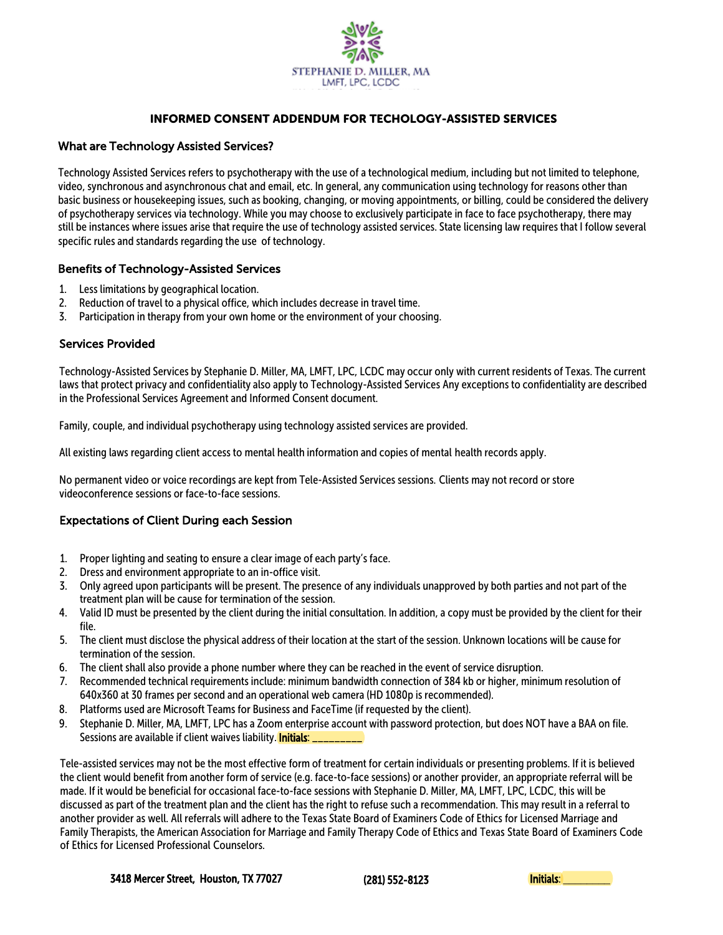

## INFORMED CONSENT ADDENDUM FOR TECHOLOGY-ASSISTED SERVICES

## What are Technology Assisted Services?

Technology Assisted Services refers to psychotherapy with the use of a technological medium, including but not limited to telephone, video, synchronous and asynchronous chat and email, etc. In general, any communication using technology for reasons other than basic business or housekeeping issues, such as booking, changing, or moving appointments, or billing, could be considered the delivery of psychotherapy services via technology. While you may choose to exclusively participate in face to face psychotherapy, there may still be instances where issues arise that require the use of technology assisted services. State licensing law requires that I follow several specific rules and standards regarding the use of technology.

### Benefits of Technology-Assisted Services

- 1. Less limitations by geographical location.
- 2. Reduction of travel to a physical office, which includes decrease in travel time.
- 3. Participation in therapy from your own home or the environment of your choosing.

## Services Provided

Technology-Assisted Services by Stephanie D. Miller, MA, LMFT, LPC, LCDC may occur only with current residents of Texas. The current laws that protect privacy and confidentiality also apply to Technology-Assisted Services Any exceptions to confidentiality are described in the Professional Services Agreement and Informed Consent document.

Family, couple, and individual psychotherapy using technology assisted services are provided.

All existing laws regarding client access to mental health information and copies of mental health records apply.

No permanent video or voice recordings are kept from Tele-Assisted Services sessions. Clients may not record or store videoconference sessions or face-to-face sessions.

## Expectations of Client During each Session

- 1. Proper lighting and seating to ensure a clear image of each party's face.
- 2. Dress and environment appropriate to an in-office visit.
- 3. Only agreed upon participants will be present. The presence of any individuals unapproved by both parties and not part of the treatment plan will be cause for termination of the session.
- 4. Valid ID must be presented by the client during the initial consultation. In addition, a copy must be provided by the client for their file.
- 5. The client must disclose the physical address of their location at the start of the session. Unknown locations will be cause for termination of the session.
- 6. The client shall also provide a phone number where they can be reached in the event of service disruption.
- 7. Recommended technical requirements include: minimum bandwidth connection of 384 kb or higher, minimum resolution of 640x360 at 30 frames per second and an operational web camera (HD 1080p is recommended).
- 8. Platforms used are Microsoft Teams for Business and FaceTime (if requested by the client).
- 9. Stephanie D. Miller, MA, LMFT, LPC has a Zoom enterprise account with password protection, but does NOT have a BAA on file. Sessions are available if client waives liability. **Initials:** \_

Tele-assisted services may not be the most effective form of treatment for certain individuals or presenting problems. If it is believed the client would benefit from another form of service (e.g. face-to-face sessions) or another provider, an appropriate referral will be made. If it would be beneficial for occasional face-to-face sessions with Stephanie D. Miller, MA, LMFT, LPC, LCDC, this will be discussed as part of the treatment plan and the client has the right to refuse such a recommendation. This may result in a referral to another provider as well. All referrals will adhere to the Texas State Board of Examiners Code of Ethics for Licensed Marriage and Family Therapists, the American Association for Marriage and Family Therapy Code of Ethics and Texas State Board of Examiners Code of Ethics for Licensed Professional Counselors.

3418 Mercer Street, Houston, TX 77027

(281) 552-8123 Initials: \_\_\_\_\_\_\_\_